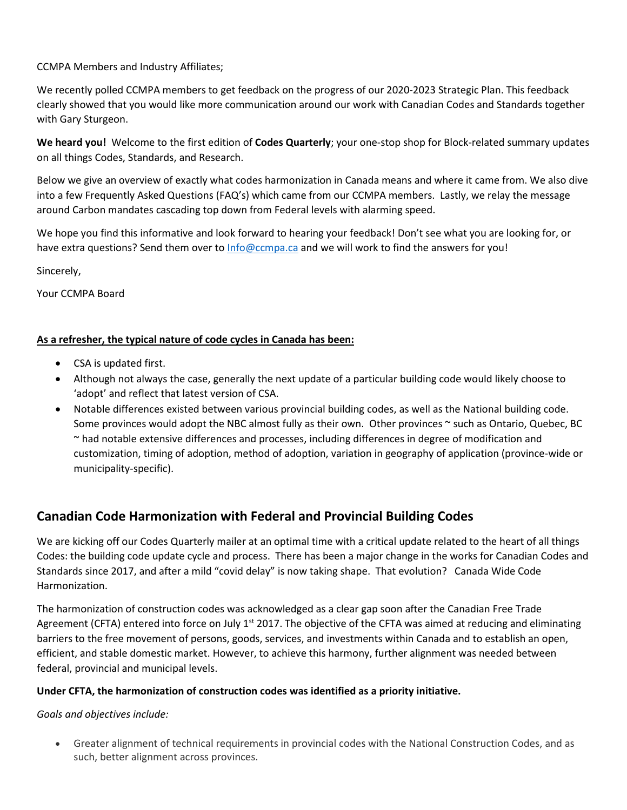CCMPA Members and Industry Affiliates;

We recently polled CCMPA members to get feedback on the progress of our 2020-2023 Strategic Plan. This feedback clearly showed that you would like more communication around our work with Canadian Codes and Standards together with Gary Sturgeon.

**We heard you!** Welcome to the first edition of **Codes Quarterly**; your one-stop shop for Block-related summary updates on all things Codes, Standards, and Research.

Below we give an overview of exactly what codes harmonization in Canada means and where it came from. We also dive into a few Frequently Asked Questions (FAQ's) which came from our CCMPA members. Lastly, we relay the message around Carbon mandates cascading top down from Federal levels with alarming speed.

We hope you find this informative and look forward to hearing your feedback! Don't see what you are looking for, or have extra questions? Send them over to [Info@ccmpa.ca](mailto:Info@ccmpa.ca) and we will work to find the answers for you!

Sincerely,

Your CCMPA Board

## **As a refresher, the typical nature of code cycles in Canada has been:**

- CSA is updated first.
- Although not always the case, generally the next update of a particular building code would likely choose to 'adopt' and reflect that latest version of CSA.
- Notable differences existed between various provincial building codes, as well as the National building code. Some provinces would adopt the NBC almost fully as their own. Other provinces ~ such as Ontario, Quebec, BC ~ had notable extensive differences and processes, including differences in degree of modification and customization, timing of adoption, method of adoption, variation in geography of application (province-wide or municipality-specific).

# **Canadian Code Harmonization with Federal and Provincial Building Codes**

We are kicking off our Codes Quarterly mailer at an optimal time with a critical update related to the heart of all things Codes: the building code update cycle and process. There has been a major change in the works for Canadian Codes and Standards since 2017, and after a mild "covid delay" is now taking shape. That evolution? Canada Wide Code Harmonization.

The harmonization of construction codes was acknowledged as a clear gap soon after the Canadian Free Trade Agreement (CFTA) entered into force on July 1<sup>st</sup> 2017. The objective of the CFTA was aimed at reducing and eliminating barriers to the free movement of persons, goods, services, and investments within Canada and to establish an open, efficient, and stable domestic market. However, to achieve this harmony, further alignment was needed between federal, provincial and municipal levels.

### **Under CFTA, the harmonization of construction codes was identified as a priority initiative.**

*Goals and objectives include:*

• Greater alignment of technical requirements in provincial codes with the National Construction Codes, and as such, better alignment across provinces.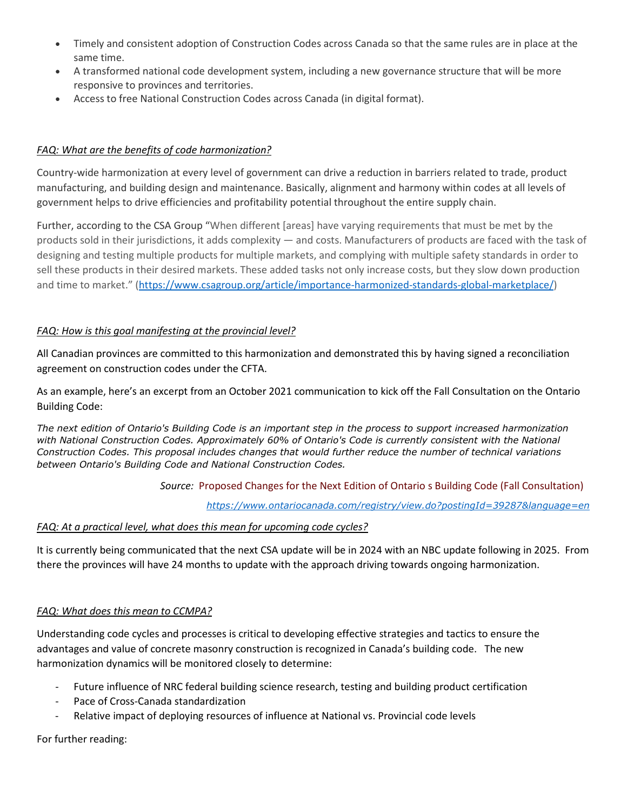- Timely and consistent adoption of Construction Codes across Canada so that the same rules are in place at the same time.
- A transformed national code development system, including a new governance structure that will be more responsive to provinces and territories.
- Access to free National Construction Codes across Canada (in digital format).

## *FAQ: What are the benefits of code harmonization?*

Country-wide harmonization at every level of government can drive a reduction in barriers related to trade, product manufacturing, and building design and maintenance. Basically, alignment and harmony within codes at all levels of government helps to drive efficiencies and profitability potential throughout the entire supply chain.

Further, according to the CSA Group "When different [areas] have varying requirements that must be met by the products sold in their jurisdictions, it adds complexity — and costs. Manufacturers of products are faced with the task of designing and testing multiple products for multiple markets, and complying with multiple safety standards in order to sell these products in their desired markets. These added tasks not only increase costs, but they slow down production and time to market." [\(https://www.csagroup.org/article/importance-harmonized-standards-global-marketplace/\)](https://www.csagroup.org/article/importance-harmonized-standards-global-marketplace/)

### *FAQ: How is this goal manifesting at the provincial level?*

All Canadian provinces are committed to this harmonization and demonstrated this by having signed a reconciliation agreement on construction codes under the CFTA.

As an example, here's an excerpt from an October 2021 communication to kick off the Fall Consultation on the Ontario Building Code:

*The next edition of Ontario's Building Code is an important step in the process to support increased harmonization*  with National Construction Codes. Approximately 60% of Ontario's Code is currently consistent with the National *Construction Codes. This proposal includes changes that would further reduce the number of technical variations between Ontario's Building Code and National Construction Codes.*

### *Source:* Proposed Changes for the Next Edition of Ontario s Building Code (Fall Consultation)

*<https://www.ontariocanada.com/registry/view.do?postingId=39287&language=en>*

#### *FAQ: At a practical level, what does this mean for upcoming code cycles?*

It is currently being communicated that the next CSA update will be in 2024 with an NBC update following in 2025. From there the provinces will have 24 months to update with the approach driving towards ongoing harmonization.

### *FAQ: What does this mean to CCMPA?*

Understanding code cycles and processes is critical to developing effective strategies and tactics to ensure the advantages and value of concrete masonry construction is recognized in Canada's building code. The new harmonization dynamics will be monitored closely to determine:

- Future influence of NRC federal building science research, testing and building product certification
- Pace of Cross-Canada standardization
- Relative impact of deploying resources of influence at National vs. Provincial code levels

For further reading: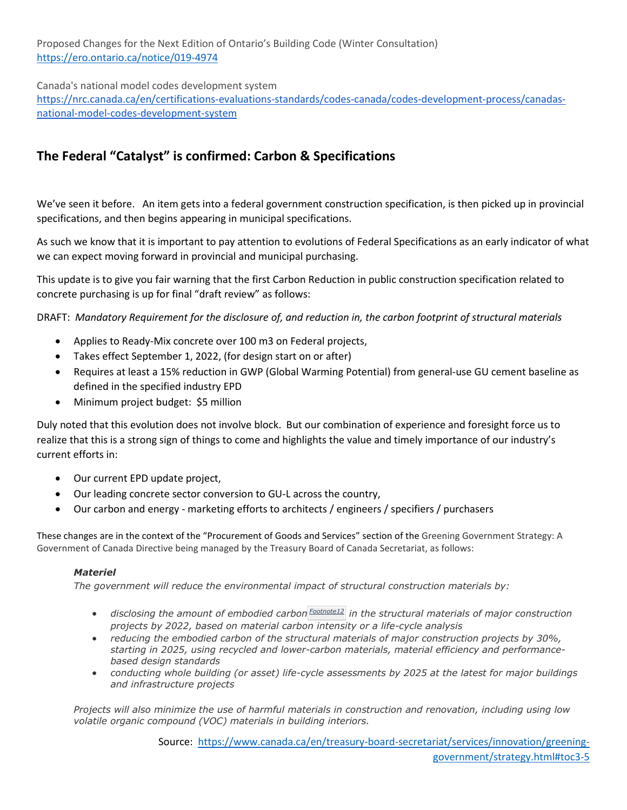Proposed Changes for the Next Edition of Ontario's Building Code (Winter Consultation) <https://ero.ontario.ca/notice/019-4974>

Canada's national model codes development system [https://nrc.canada.ca/en/certifications-evaluations-standards/codes-canada/codes-development-process/canadas](https://nrc.canada.ca/en/certifications-evaluations-standards/codes-canada/codes-development-process/canadas-national-model-codes-development-system)[national-model-codes-development-system](https://nrc.canada.ca/en/certifications-evaluations-standards/codes-canada/codes-development-process/canadas-national-model-codes-development-system)

# **The Federal "Catalyst" is confirmed: Carbon & Specifications**

We've seen it before. An item gets into a federal government construction specification, is then picked up in provincial specifications, and then begins appearing in municipal specifications.

As such we know that it is important to pay attention to evolutions of Federal Specifications as an early indicator of what we can expect moving forward in provincial and municipal purchasing.

This update is to give you fair warning that the first Carbon Reduction in public construction specification related to concrete purchasing is up for final "draft review" as follows:

DRAFT: *Mandatory Requirement for the disclosure of, and reduction in, the carbon footprint of structural materials*

- Applies to Ready-Mix concrete over 100 m3 on Federal projects,
- Takes effect September 1, 2022, (for design start on or after)
- Requires at least a 15% reduction in GWP (Global Warming Potential) from general-use GU cement baseline as defined in the specified industry EPD
- Minimum project budget: \$5 million

Duly noted that this evolution does not involve block. But our combination of experience and foresight force us to realize that this is a strong sign of things to come and highlights the value and timely importance of our industry's current efforts in:

- Our current EPD update project,
- Our leading concrete sector conversion to GU-L across the country,
- Our carbon and energy marketing efforts to architects / engineers / specifiers / purchasers

These changes are in the context of the "Procurement of Goods and Services" section of the Greening Government Strategy: A Government of Canada Directive being managed by the Treasury Board of Canada Secretariat, as follows:

#### *Materiel*

*The government will reduce the environmental impact of structural construction materials by:*

- *disclosing the amount of embodied carbon [Footnote12](https://www.canada.ca/en/treasury-board-secretariat/services/innovation/greening-government/strategy.html#fn12) in the structural materials of major construction projects by 2022, based on material carbon intensity or a life-cycle analysis*
- *reducing the embodied carbon of the structural materials of major construction projects by 30%, starting in 2025, using recycled and lower-carbon materials, material efficiency and performancebased design standards*
- *conducting whole building (or asset) life-cycle assessments by 2025 at the latest for major buildings and infrastructure projects*

*Projects will also minimize the use of harmful materials in construction and renovation, including using low volatile organic compound (VOC) materials in building interiors.*